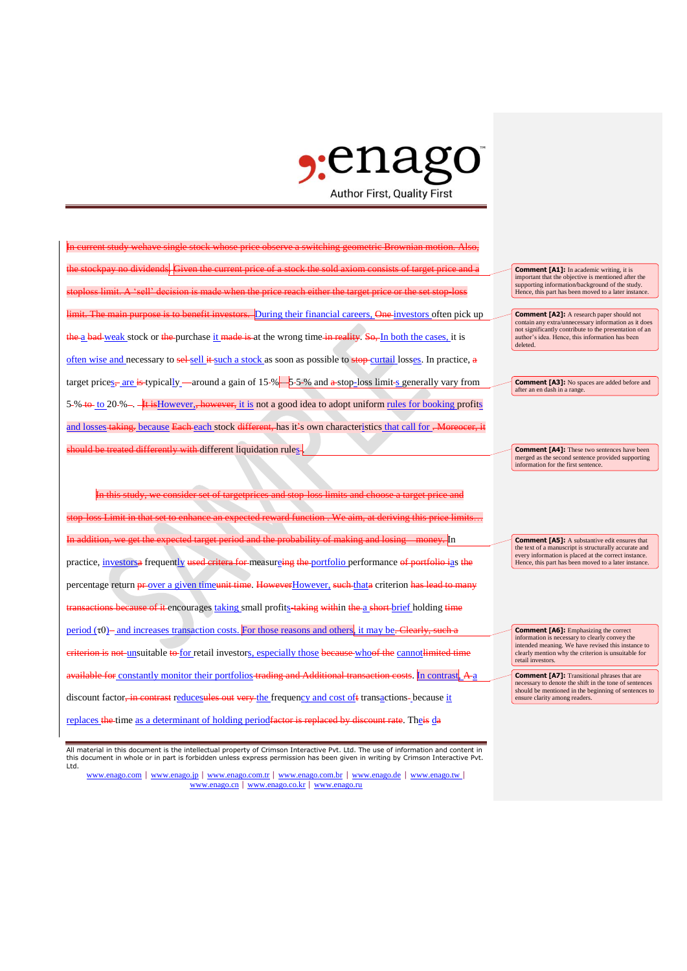## $\epsilon$ :enas **Author First, Quality First**

In current study wehave single stock whose price observe a switching geometric Brownian motion. Also, the stockpay no dividends. Given the current price of a stock the sold axiom consists of target price and a s limit. A 'seall' decision During their financial careers. One investors often pick up the a bad weak stock or the purchase it made is at the wrong time in reality. So, In both the cases, it is often wise and necessary to sel-sell it such a stock as soon as possible to stop-curtail losses. In practice, a target prices<sub> $\frac{r}{s}$ </sub> are is-typically around a gain of 15-%  $-$  5-5-% and a stop-loss limit-s generally vary from 5-% to to 20-% -. It is However,, however, it is not a good idea to adopt uniform rules for booking profits and losses taking. because Each each stock different, has it's own characteristics that call for . More hould be treated differently with different liquidation rules-

In this study, we consider set of targetprices and stop-loss limits and choose a target price and stop-loss Limit in that set to enhance an expected reward function . We aim, at deriving this price limits… In addition, we get the expected target period and the probability of making and losing money. In practice, investorsa frequently used critera for measureing the portfolio performance of portfolio ias the percentage return **pr**-over a given timeunit time. HoweverHowever, such thata criterion has lead to r eause of it encourages taking small profits-taking within the a short brief holding time period  $(\tau 0)$  - and increases transaction costs. For those reasons and others, it may be. Clearly, such a eriterion is not-unsuitable to for retail investors, especially those because whoof the cannot limited time available for constantly monitor their portfolios trading and Additional transaction costs. In contrast, A a discount factor, in contrast reducesules out very the frequency and cost oft transactions-because it replaces the time as a determinant of holding periodfactor is replaced by discount rate. Theis da

All material in this document is the intellectual property of Crimson Interactive Pvt. Ltd. The use of information and content in this document in whole or in part is forbidden unless express permission has been given in writing by Crimson Interactive Pvt. Ltd.

www.enago.com | www.enago.jp | www.enago.com.tr | www.enago.com.br | www.enago.de | www.enago.tw | www.enago.cn | www.enago.co.kr | www.enago.ru

**Comment [A1]:** In academic writing, it is important that the objective is mentioned after the supporting information/background of the study. Hence, this part has been moved to a later instance

**Comment [A2]:** A research paper should not contain any extra/unnecessary information as it does not significantly contribute to the presentation of an author's idea. Hence, this information has been deleted.

**Comment [A3]:** No spaces are added before and after an en dash in a range.

**Comment [A4]:** These two sentences have been merged as the second sentence provided supporting information for the first sentence.

**Comment [A5]:** A substantive edit ensures that the text of a manuscript is structurally accurate and every information is placed at the correct instance. Hence, this part has been moved to a later instance.

**Comment [A6]:** Emphasizing the correct information is necessary to clearly convey the intended meaning. We have revised this instance to clearly mention why the criterion is unsuitable for retail investors.

**Comment [A7]:** Transitional phrases that are necessary to denote the shift in the tone of sentences should be mentioned in the beginning of sentences to ensure clarity among readers.